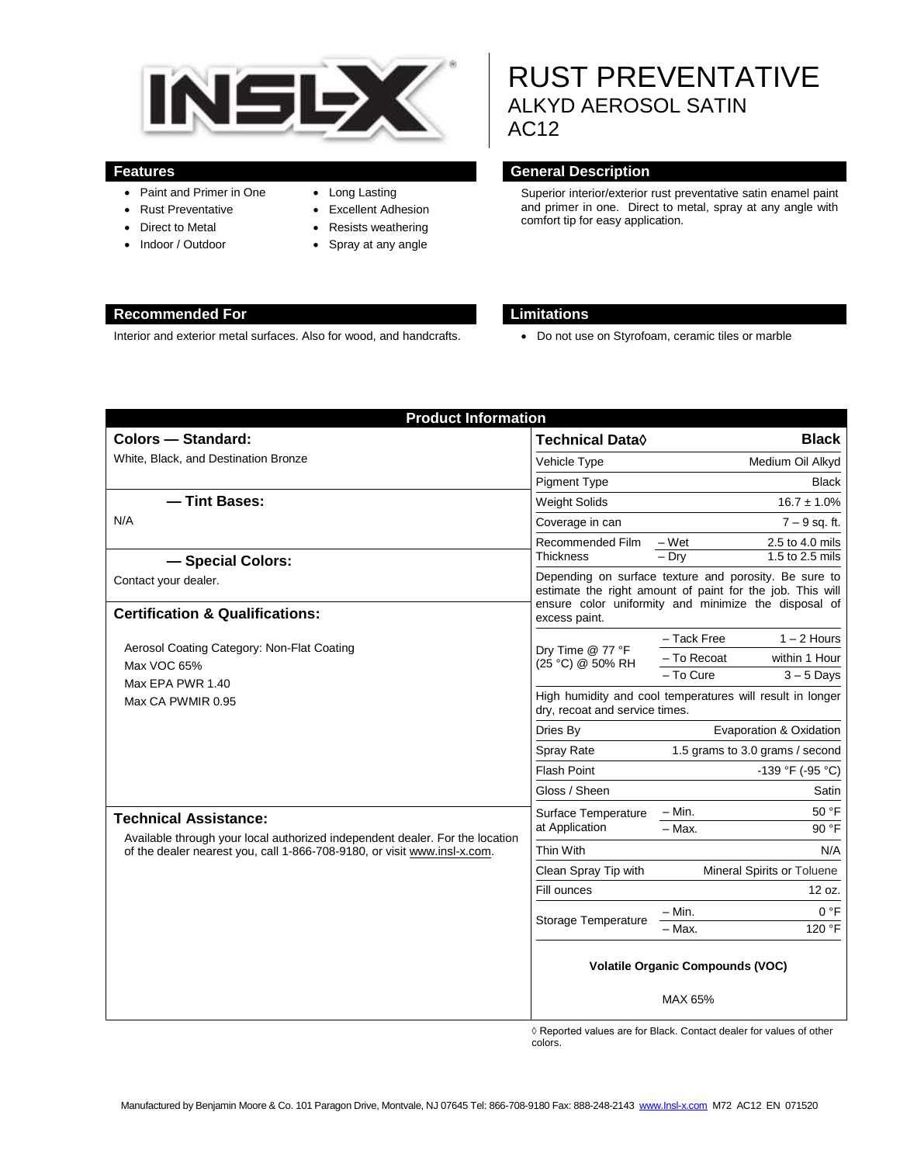

- Paint and Primer in One
- Rust Preventative
- Direct to Metal
- Indoor / Outdoor
- Long Lasting
- Excellent Adhesion
- Resists weathering
- Spray at any angle

# RUST PREVENTATIVE ALKYD AEROSOL SATIN AC12

#### **Features General Description**

Superior interior/exterior rust preventative satin enamel paint and primer in one. Direct to metal, spray at any angle with comfort tip for easy application.

#### **Recommended For Limitations**

Interior and exterior metal surfaces. Also for wood, and handcrafts. <br>
• Do not use on Styrofoam, ceramic tiles or marble

| <b>Product Information</b>                                                                                                                                                               |                                                                                                                                                                                             |                                 |
|------------------------------------------------------------------------------------------------------------------------------------------------------------------------------------------|---------------------------------------------------------------------------------------------------------------------------------------------------------------------------------------------|---------------------------------|
| <b>Colors - Standard:</b>                                                                                                                                                                | <b>Technical Data</b> ♦                                                                                                                                                                     | <b>Black</b>                    |
| White, Black, and Destination Bronze                                                                                                                                                     | Vehicle Type                                                                                                                                                                                | Medium Oil Alkyd                |
|                                                                                                                                                                                          | <b>Pigment Type</b>                                                                                                                                                                         | <b>Black</b>                    |
| - Tint Bases:<br>N/A                                                                                                                                                                     | <b>Weight Solids</b>                                                                                                                                                                        | $16.7 \pm 1.0\%$                |
|                                                                                                                                                                                          | Coverage in can                                                                                                                                                                             | $7 - 9$ sq. ft.                 |
|                                                                                                                                                                                          | Recommended Film                                                                                                                                                                            | $-Wet$<br>2.5 to 4.0 mils       |
| - Special Colors:                                                                                                                                                                        | <b>Thickness</b>                                                                                                                                                                            | 1.5 to 2.5 mils<br>$-$ Dry      |
| Contact your dealer.                                                                                                                                                                     | Depending on surface texture and porosity. Be sure to<br>estimate the right amount of paint for the job. This will<br>ensure color uniformity and minimize the disposal of<br>excess paint. |                                 |
| <b>Certification &amp; Qualifications:</b>                                                                                                                                               |                                                                                                                                                                                             |                                 |
| Aerosol Coating Category: Non-Flat Coating<br>Max VOC 65%<br>Max EPA PWR 1.40<br>Max CA PWMIR 0.95                                                                                       | Dry Time @ 77 °F<br>(25 °C) @ 50% RH                                                                                                                                                        | - Tack Free<br>$1 - 2$ Hours    |
|                                                                                                                                                                                          |                                                                                                                                                                                             | - To Recoat<br>within 1 Hour    |
|                                                                                                                                                                                          |                                                                                                                                                                                             | - To Cure<br>$3 - 5$ Days       |
|                                                                                                                                                                                          | High humidity and cool temperatures will result in longer<br>dry, recoat and service times.                                                                                                 |                                 |
|                                                                                                                                                                                          | Dries By                                                                                                                                                                                    | Evaporation & Oxidation         |
|                                                                                                                                                                                          | Spray Rate                                                                                                                                                                                  | 1.5 grams to 3.0 grams / second |
|                                                                                                                                                                                          | <b>Flash Point</b>                                                                                                                                                                          | $-139$ °F (-95 °C)              |
|                                                                                                                                                                                          | Gloss / Sheen                                                                                                                                                                               | Satin                           |
| <b>Technical Assistance:</b><br>Available through your local authorized independent dealer. For the location<br>of the dealer nearest you, call 1-866-708-9180, or visit www.insl-x.com. | Surface Temperature<br>at Application                                                                                                                                                       | $-$ Min.<br>50 °F               |
|                                                                                                                                                                                          |                                                                                                                                                                                             | $-$ Max.<br>90 °F               |
|                                                                                                                                                                                          | Thin With                                                                                                                                                                                   | N/A                             |
|                                                                                                                                                                                          | Clean Spray Tip with                                                                                                                                                                        | Mineral Spirits or Toluene      |
|                                                                                                                                                                                          | Fill ounces                                                                                                                                                                                 | 12 oz.                          |
|                                                                                                                                                                                          | Storage Temperature                                                                                                                                                                         | 0 °F<br>- Min.                  |
|                                                                                                                                                                                          |                                                                                                                                                                                             | 120 °F<br>- Max.                |
|                                                                                                                                                                                          | <b>Volatile Organic Compounds (VOC)</b><br>MAX 65%                                                                                                                                          |                                 |

◊ Reported values are for Black. Contact dealer for values of other colors.